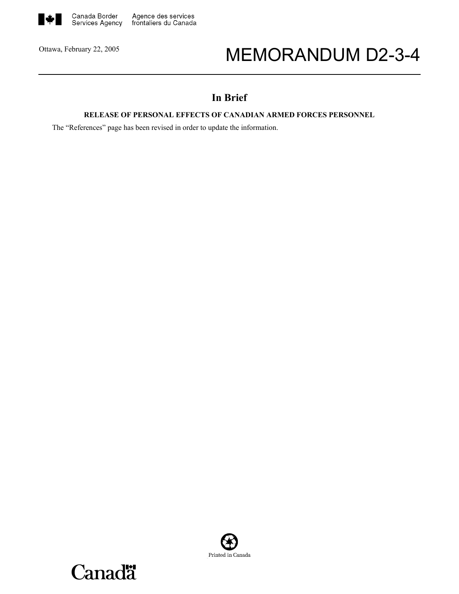

# Ottawa, February 22, 2005 MEMORANDUM D2-3-4

### **In Brief**

### **RELEASE OF PERSONAL EFFECTS OF CANADIAN ARMED FORCES PERSONNEL**

The "References" page has been revised in order to update the information.



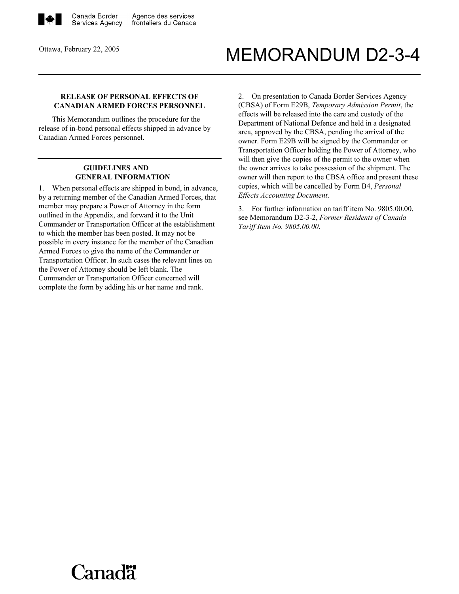

### Ottawa, February 22, 2005 MEMORANDUM D2-3-4

### **RELEASE OF PERSONAL EFFECTS OF CANADIAN ARMED FORCES PERSONNEL**

This Memorandum outlines the procedure for the release of in-bond personal effects shipped in advance by Canadian Armed Forces personnel.

#### **GUIDELINES AND GENERAL INFORMATION**

1. When personal effects are shipped in bond, in advance, by a returning member of the Canadian Armed Forces, that member may prepare a Power of Attorney in the form outlined in the Appendix, and forward it to the Unit Commander or Transportation Officer at the establishment to which the member has been posted. It may not be possible in every instance for the member of the Canadian Armed Forces to give the name of the Commander or Transportation Officer. In such cases the relevant lines on the Power of Attorney should be left blank. The Commander or Transportation Officer concerned will complete the form by adding his or her name and rank.

2. On presentation to Canada Border Services Agency (CBSA) of Form E29B, *Temporary Admission Permit*, the effects will be released into the care and custody of the Department of National Defence and held in a designated area, approved by the CBSA, pending the arrival of the owner. Form E29B will be signed by the Commander or Transportation Officer holding the Power of Attorney, who will then give the copies of the permit to the owner when the owner arrives to take possession of the shipment. The owner will then report to the CBSA office and present these copies, which will be cancelled by Form B4, *Personal Effects Accounting Document*.

3. For further information on tariff item No. 9805.00.00, see Memorandum D2-3-2, *Former Residents of Canada – Tariff Item No. 9805.00.00*.

## Canadä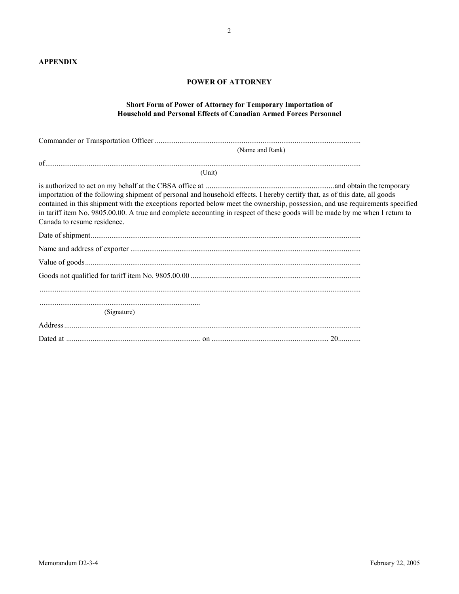### **APPENDIX**

### **POWER OF ATTORNEY**

#### **Short Form of Power of Attorney for Temporary Importation of Household and Personal Effects of Canadian Armed Forces Personnel**

| (Name and Rank)                                                                                                                                                                                                                                                                                                                                                                                                          |
|--------------------------------------------------------------------------------------------------------------------------------------------------------------------------------------------------------------------------------------------------------------------------------------------------------------------------------------------------------------------------------------------------------------------------|
|                                                                                                                                                                                                                                                                                                                                                                                                                          |
| (Unit)                                                                                                                                                                                                                                                                                                                                                                                                                   |
| importation of the following shipment of personal and household effects. I hereby certify that, as of this date, all goods<br>contained in this shipment with the exceptions reported below meet the ownership, possession, and use requirements specified<br>in tariff item No. 9805.00.00. A true and complete accounting in respect of these goods will be made by me when I return to<br>Canada to resume residence. |
|                                                                                                                                                                                                                                                                                                                                                                                                                          |
|                                                                                                                                                                                                                                                                                                                                                                                                                          |
|                                                                                                                                                                                                                                                                                                                                                                                                                          |
|                                                                                                                                                                                                                                                                                                                                                                                                                          |
|                                                                                                                                                                                                                                                                                                                                                                                                                          |
| (Signature)                                                                                                                                                                                                                                                                                                                                                                                                              |
|                                                                                                                                                                                                                                                                                                                                                                                                                          |
|                                                                                                                                                                                                                                                                                                                                                                                                                          |